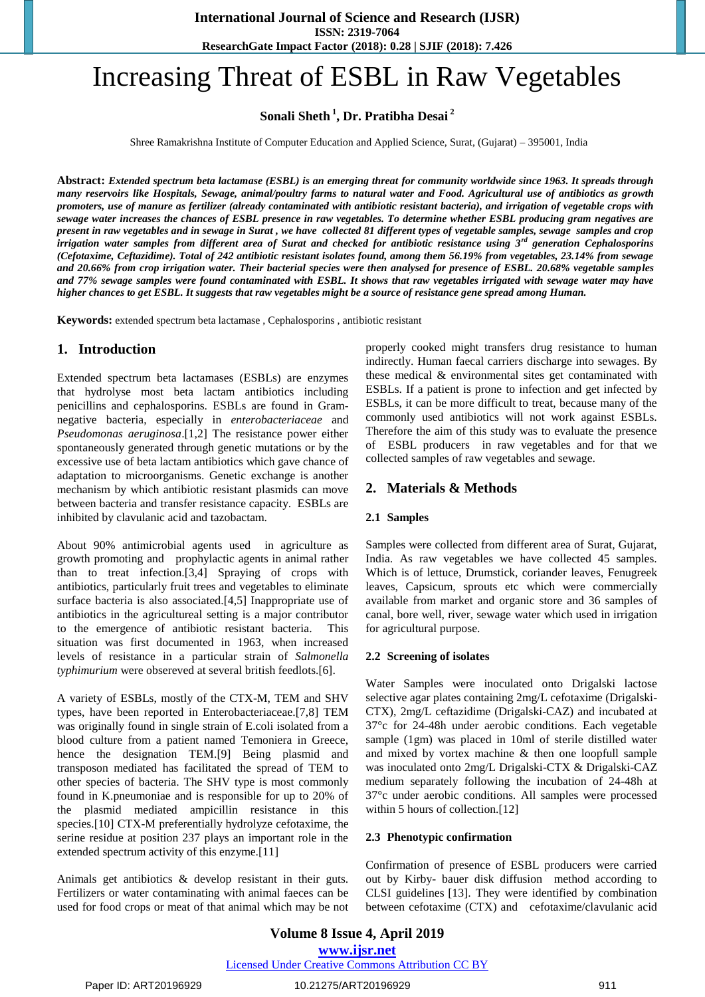# Increasing Threat of ESBL in Raw Vegetables

**Sonali Sheth <sup>1</sup> , Dr. Pratibha Desai <sup>2</sup>**

Shree Ramakrishna Institute of Computer Education and Applied Science, Surat, (Gujarat) – 395001, India

**Abstract:** *Extended spectrum beta lactamase (ESBL) is an emerging threat for community worldwide since 1963. It spreads through many reservoirs like Hospitals, Sewage, animal/poultry farms to natural water and Food. Agricultural use of antibiotics as growth promoters, use of manure as fertilizer (already contaminated with antibiotic resistant bacteria), and irrigation of vegetable crops with sewage water increases the chances of ESBL presence in raw vegetables. To determine whether ESBL producing gram negatives are present in raw vegetables and in sewage in Surat , we have collected 81 different types of vegetable samples, sewage samples and crop irrigation water samples from different area of Surat and checked for antibiotic resistance using 3rd generation Cephalosporins (Cefotaxime, Ceftazidime). Total of 242 antibiotic resistant isolates found, among them 56.19% from vegetables, 23.14% from sewage and 20.66% from crop irrigation water. Their bacterial species were then analysed for presence of ESBL. 20.68% vegetable samples and 77% sewage samples were found contaminated with ESBL. It shows that raw vegetables irrigated with sewage water may have higher chances to get ESBL. It suggests that raw vegetables might be a source of resistance gene spread among Human.*

**Keywords:** extended spectrum beta lactamase , Cephalosporins , antibiotic resistant

#### **1. Introduction**

Extended spectrum beta lactamases (ESBLs) are enzymes that hydrolyse most beta lactam antibiotics including penicillins and cephalosporins. ESBLs are found in Gramnegative bacteria, especially in *enterobacteriaceae* and *Pseudomonas aeruginosa*.[1,2] The resistance power either spontaneously generated through genetic mutations or by the excessive use of beta lactam antibiotics which gave chance of adaptation to microorganisms. Genetic exchange is another mechanism by which antibiotic resistant plasmids can move between bacteria and transfer resistance capacity. ESBLs are inhibited by clavulanic acid and tazobactam.

About 90% antimicrobial agents used in agriculture as growth promoting and prophylactic agents in animal rather than to treat infection.[3,4] Spraying of crops with antibiotics, particularly fruit trees and vegetables to eliminate surface bacteria is also associated.[4,5] Inappropriate use of antibiotics in the agricultureal setting is a major contributor to the emergence of antibiotic resistant bacteria. This situation was first documented in 1963, when increased levels of resistance in a particular strain of *Salmonella typhimurium* were obsereved at several british feedlots.[6].

A variety of ESBLs, mostly of the CTX-M, TEM and SHV types, have been reported in Enterobacteriaceae.[7,8] TEM was originally found in single strain of E.coli isolated from a blood culture from a patient named Temoniera in Greece, hence the designation TEM.[9] Being plasmid and transposon mediated has facilitated the spread of TEM to other species of bacteria. The SHV type is most commonly found in K.pneumoniae and is responsible for up to 20% of the plasmid mediated ampicillin resistance in this species.<sup>[10]</sup> CTX-M preferentially hydrolyze cefotaxime, the serine residue at position 237 plays an important role in the extended spectrum activity of this enzyme.[11]

Animals get antibiotics & develop resistant in their guts. Fertilizers or water contaminating with animal faeces can be used for food crops or meat of that animal which may be not properly cooked might transfers drug resistance to human indirectly. Human faecal carriers discharge into sewages. By these medical & environmental sites get contaminated with ESBLs. If a patient is prone to infection and get infected by ESBLs, it can be more difficult to treat, because many of the commonly used antibiotics will not work against ESBLs. Therefore the aim of this study was to evaluate the presence of ESBL producers in raw vegetables and for that we collected samples of raw vegetables and sewage.

## **2. Materials & Methods**

#### **2.1 Samples**

Samples were collected from different area of Surat, Gujarat, India. As raw vegetables we have collected 45 samples. Which is of lettuce, Drumstick, coriander leaves, Fenugreek leaves, Capsicum, sprouts etc which were commercially available from market and organic store and 36 samples of canal, bore well, river, sewage water which used in irrigation for agricultural purpose.

#### **2.2 Screening of isolates**

Water Samples were inoculated onto Drigalski lactose selective agar plates containing 2mg/L cefotaxime (Drigalski-CTX), 2mg/L ceftazidime (Drigalski-CAZ) and incubated at 37°c for 24-48h under aerobic conditions. Each vegetable sample (1gm) was placed in 10ml of sterile distilled water and mixed by vortex machine & then one loopfull sample was inoculated onto 2mg/L Drigalski-CTX & Drigalski-CAZ medium separately following the incubation of 24-48h at 37°c under aerobic conditions. All samples were processed within 5 hours of collection.[12]

#### **2.3 Phenotypic confirmation**

Confirmation of presence of ESBL producers were carried out by Kirby- bauer disk diffusion method according to CLSI guidelines [13]. They were identified by combination between cefotaxime (CTX) and cefotaxime/clavulanic acid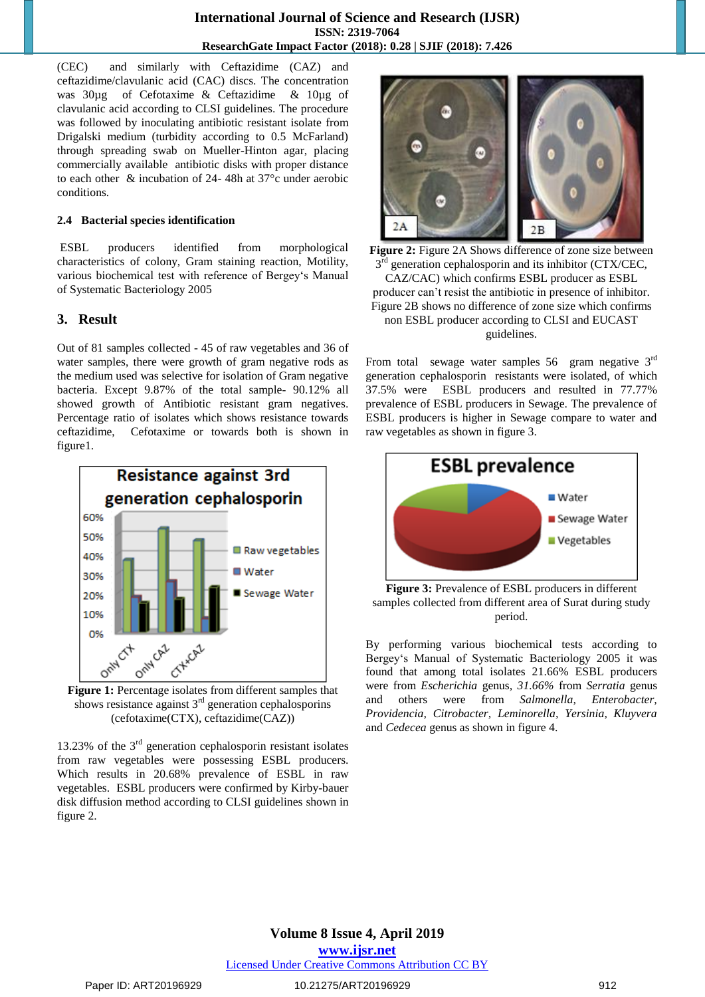(CEC) and similarly with Ceftazidime (CAZ) and ceftazidime/clavulanic acid (CAC) discs. The concentration was 30µg of Cefotaxime & Ceftazidime & 10µg of clavulanic acid according to CLSI guidelines. The procedure was followed by inoculating antibiotic resistant isolate from Drigalski medium (turbidity according to 0.5 McFarland) through spreading swab on Mueller-Hinton agar, placing commercially available antibiotic disks with proper distance to each other & incubation of 24- 48h at 37°c under aerobic conditions.

#### **2.4 Bacterial species identification**

ESBL producers identified from morphological characteristics of colony, Gram staining reaction, Motility, various biochemical test with reference of Bergey's Manual of Systematic Bacteriology 2005

## **3. Result**

Out of 81 samples collected - 45 of raw vegetables and 36 of water samples, there were growth of gram negative rods as the medium used was selective for isolation of Gram negative bacteria. Except 9.87% of the total sample- 90.12% all showed growth of Antibiotic resistant gram negatives. Percentage ratio of isolates which shows resistance towards ceftazidime, Cefotaxime or towards both is shown in figure1.



shows resistance against  $3<sup>rd</sup>$  generation cephalosporins (cefotaxime(CTX), ceftazidime(CAZ))

13.23% of the  $3<sup>rd</sup>$  generation cephalosporin resistant isolates from raw vegetables were possessing ESBL producers. Which results in 20.68% prevalence of ESBL in raw vegetables. ESBL producers were confirmed by Kirby-bauer disk diffusion method according to CLSI guidelines shown in figure 2.



**Figure 2:** Figure 2A Shows difference of zone size between  $3<sup>rd</sup>$  generation cephalosporin and its inhibitor (CTX/CEC, CAZ/CAC) which confirms ESBL producer as ESBL producer can't resist the antibiotic in presence of inhibitor. Figure 2B shows no difference of zone size which confirms non ESBL producer according to CLSI and EUCAST guidelines.

From total sewage water samples  $56$  gram negative  $3<sup>rd</sup>$ generation cephalosporin resistants were isolated, of which 37.5% were ESBL producers and resulted in 77.77% prevalence of ESBL producers in Sewage. The prevalence of ESBL producers is higher in Sewage compare to water and raw vegetables as shown in figure 3.



**Figure 3:** Prevalence of ESBL producers in different samples collected from different area of Surat during study period.

By performing various biochemical tests according to Bergey's Manual of Systematic Bacteriology 2005 it was found that among total isolates 21.66% ESBL producers were from *Escherichia* genus*, 31.66%* from *Serratia* genus and others were from *Salmonella, Enterobacter, Providencia, Citrobacter, Leminorella, Yersinia, Kluyvera*  and *Cedecea* genus as shown in figure 4.

## **Volume 8 Issue 4, April 2019 www.ijsr.net** Licensed Under Creative Commons Attribution CC BY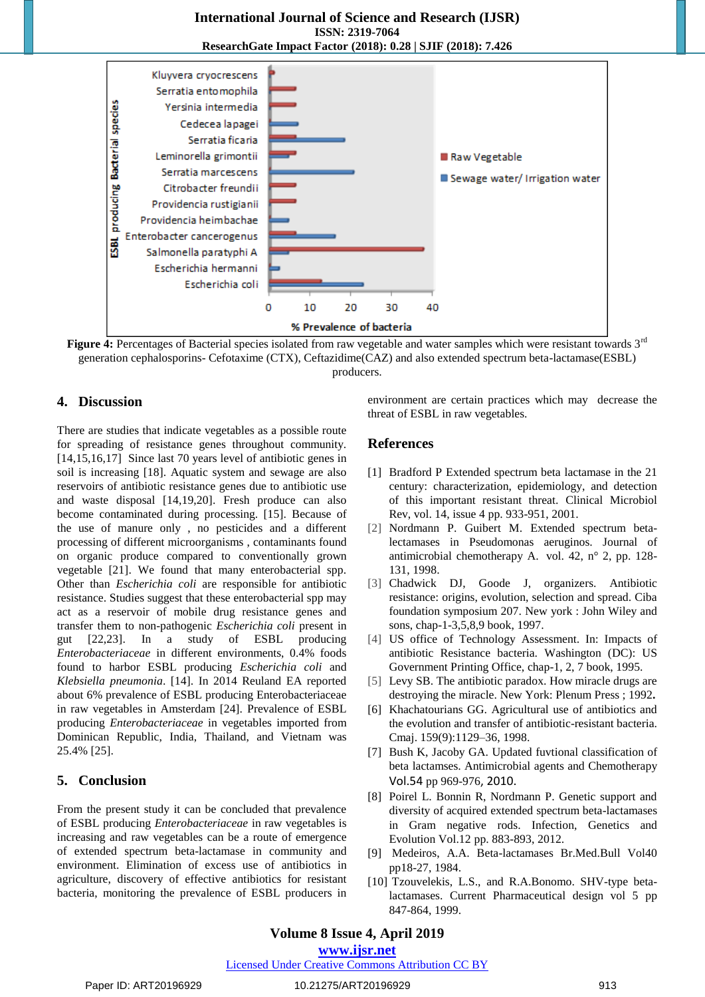#### **International Journal of Science and Research (IJSR) ISSN: 2319-7064 ResearchGate Impact Factor (2018): 0.28 | SJIF (2018): 7.426**



Figure 4: Percentages of Bacterial species isolated from raw vegetable and water samples which were resistant towards 3<sup>rd</sup> generation cephalosporins- Cefotaxime (CTX), Ceftazidime(CAZ) and also extended spectrum beta-lactamase(ESBL) producers.

#### **4. Discussion**

There are studies that indicate vegetables as a possible route for spreading of resistance genes throughout community. [14,15,16,17] Since last 70 years level of antibiotic genes in soil is increasing [18]. Aquatic system and sewage are also reservoirs of antibiotic resistance genes due to antibiotic use and waste disposal [14,19,20]. Fresh produce can also become contaminated during processing. [15]. Because of the use of manure only , no pesticides and a different processing of different microorganisms , contaminants found on organic produce compared to conventionally grown vegetable [21]. We found that many enterobacterial spp. Other than *Escherichia coli* are responsible for antibiotic resistance. Studies suggest that these enterobacterial spp may act as a reservoir of mobile drug resistance genes and transfer them to non-pathogenic *Escherichia coli* present in gut [22,23]. In a study of ESBL producing *Enterobacteriaceae* in different environments, 0.4% foods found to harbor ESBL producing *Escherichia coli* and *Klebsiella pneumonia*. [14]. In 2014 Reuland EA reported about 6% prevalence of ESBL producing Enterobacteriaceae in raw vegetables in Amsterdam [24]. Prevalence of ESBL producing *Enterobacteriaceae* in vegetables imported from Dominican Republic, India, Thailand, and Vietnam was 25.4% [25].

### **5. Conclusion**

From the present study it can be concluded that prevalence of ESBL producing *Enterobacteriaceae* in raw vegetables is increasing and raw vegetables can be a route of emergence of extended spectrum beta-lactamase in community and environment. Elimination of excess use of antibiotics in agriculture, discovery of effective antibiotics for resistant bacteria, monitoring the prevalence of ESBL producers in environment are certain practices which may decrease the threat of ESBL in raw vegetables.

### **References**

- [1] Bradford P Extended spectrum beta lactamase in the 21 century: characterization, epidemiology, and detection of this important resistant threat. Clinical Microbiol Rev, vol. 14, issue 4 pp. 933-951, 2001.
- [2] Nordmann P. Guibert M. Extended spectrum betalectamases in Pseudomonas aeruginos. Journal of antimicrobial chemotherapy A. vol. 42, n° 2, pp. 128- 131[, 1998.](http://www.refdoc.fr/Recherchevolnum?issn=0305-7453&anneeSerie=1998)
- [3] Chadwick DJ, Goode J, organizers. Antibiotic resistance: origins, evolution, selection and spread. Ciba foundation symposium 207. New york : John Wiley and sons, chap-1-3,5,8,9 book, 1997.
- [4] US office of Technology Assessment. In: Impacts of antibiotic Resistance bacteria. Washington (DC): US Government Printing Office, chap-1, 2, 7 book, 1995.
- [5] Levy SB. The antibiotic paradox. How miracle drugs are destroying the miracle. New York: Plenum Press ; 1992**.**
- [6] Khachatourians GG. Agricultural use of antibiotics and the evolution and transfer of antibiotic-resistant bacteria. Cmaj. 159(9):1129–36, 1998.
- [7] Bush K, Jacoby GA. Updated fuvtional classification of beta lactamses. Antimicrobial agents and Chemotherapy Vol.54 pp 969-976, 2010.
- [8] Poirel L. Bonnin R, Nordmann P. Genetic support and diversity of acquired extended spectrum beta-lactamases in Gram negative rods. Infection, Genetics and Evolution Vol.12 pp. 883-893, 2012.
- [9] Medeiros, A.A. Beta-lactamases Br.Med.Bull Vol40 pp18-27, 1984.
- [10] Tzouvelekis, L.S., and R.A.Bonomo. SHV-type betalactamases. Current Pharmaceutical design vol 5 pp 847-864, 1999.

### **Volume 8 Issue 4, April 2019**

**www.ijsr.net**

Licensed Under Creative Commons Attribution CC BY